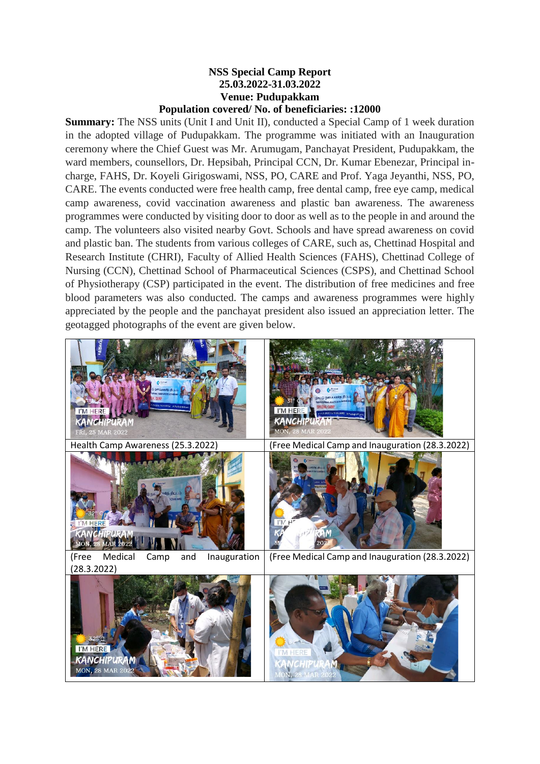## **NSS Special Camp Report 25.03.2022-31.03.2022 Venue: Pudupakkam Population covered/ No. of beneficiaries: :12000**

**Summary:** The NSS units (Unit I and Unit II), conducted a Special Camp of 1 week duration in the adopted village of Pudupakkam. The programme was initiated with an Inauguration ceremony where the Chief Guest was Mr. Arumugam, Panchayat President, Pudupakkam, the ward members, counsellors, Dr. Hepsibah, Principal CCN, Dr. Kumar Ebenezar, Principal incharge, FAHS, Dr. Koyeli Girigoswami, NSS, PO, CARE and Prof. Yaga Jeyanthi, NSS, PO, CARE. The events conducted were free health camp, free dental camp, free eye camp, medical camp awareness, covid vaccination awareness and plastic ban awareness. The awareness programmes were conducted by visiting door to door as well as to the people in and around the camp. The volunteers also visited nearby Govt. Schools and have spread awareness on covid and plastic ban. The students from various colleges of CARE, such as, Chettinad Hospital and Research Institute (CHRI), Faculty of Allied Health Sciences (FAHS), Chettinad College of Nursing (CCN), Chettinad School of Pharmaceutical Sciences (CSPS), and Chettinad School of Physiotherapy (CSP) participated in the event. The distribution of free medicines and free blood parameters was also conducted. The camps and awareness programmes were highly appreciated by the people and the panchayat president also issued an appreciation letter. The geotagged photographs of the event are given below.